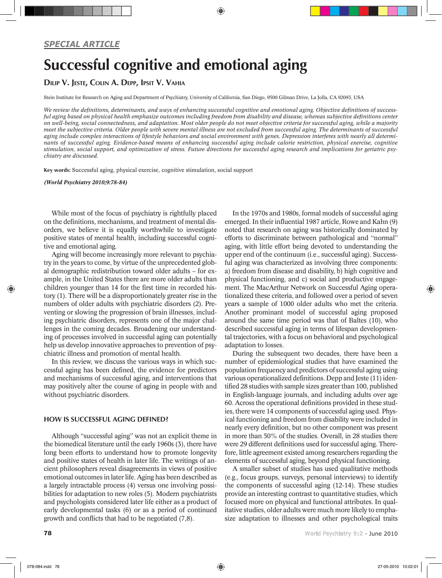# *SPECIAL ARTICLE*

# Successful cognitive and emotional aging

Dilip V. Jeste, Colin A. Depp, Ipsit V. Vahia

Stein Institute for Research on Aging and Department of Psychiatry, University of California, San Diego, 9500 Gilman Drive, La Jolla, CA 92093, USA

*We review the definitions, determinants, and ways of enhancing successful cognitive and emotional aging. Objective definitions of successful aging based on physical health emphasize outcomes including freedom from disability and disease, whereas subjective definitions center on well-being, social connectedness, and adaptation. Most older people do not meet objective criteria for successful aging, while a majority meet the subjective criteria. Older people with severe mental illness are not excluded from successful aging. The determinants of successful aging include complex interactions of lifestyle behaviors and social environment with genes. Depression interferes with nearly all determinants of successful aging. Evidence-based means of enhancing successful aging include calorie restriction, physical exercise, cognitive stimulation, social support, and optimization of stress. Future directions for successful aging research and implications for geriatric psychiatry are discussed.* 

⊕

Key words: Successful aging, physical exercise, cognitive stimulation, social support

*(World Psychiatry 2010;9:78-84)*

While most of the focus of psychiatry is rightfully placed on the definitions, mechanisms, and treatment of mental disorders, we believe it is equally worthwhile to investigate positive states of mental health, including successful cognitive and emotional aging.

Aging will become increasingly more relevant to psychiatry in the years to come, by virtue of the unprecedented global demographic redistribution toward older adults – for example, in the United States there are more older adults than children younger than 14 for the first time in recorded history (1). There will be a disproportionately greater rise in the numbers of older adults with psychiatric disorders (2). Preventing or slowing the progression of brain illnesses, including psychiatric disorders, represents one of the major challenges in the coming decades. Broadening our understanding of processes involved in successful aging can potentially help us develop innovative approaches to prevention of psychiatric illness and promotion of mental health.

In this review, we discuss the various ways in which successful aging has been defined, the evidence for predictors and mechanisms of successful aging, and interventions that may positively alter the course of aging in people with and without psychiatric disorders.

### How is successful aging defined?

Although "successful aging" was not an explicit theme in the biomedical literature until the early 1960s (3), there have long been efforts to understand how to promote longevity and positive states of health in later life. The writings of ancient philosophers reveal disagreements in views of positive emotional outcomes in later life. Aging has been described as a largely intractable process (4) versus one involving possibilities for adaptation to new roles (5). Modern psychiatrists and psychologists considered later life either as a product of early developmental tasks (6) or as a period of continued growth and conflicts that had to be negotiated (7,8).

In the 1970s and 1980s, formal models of successful aging emerged. In their influential 1987 article, Rowe and Kahn (9) noted that research on aging was historically dominated by efforts to discriminate between pathological and "normal" aging, with little effort being devoted to understanding the upper end of the continuum (i.e., successful aging). Successful aging was characterized as involving three components: a) freedom from disease and disability, b) high cognitive and physical functioning, and c) social and productive engagement. The MacArthur Network on Successful Aging operationalized these criteria, and followed over a period of seven years a sample of 1000 older adults who met the criteria. Another prominant model of successful aging proposed around the same time period was that of Baltes (10), who described successful aging in terms of lifespan developmental trajectories, with a focus on behavioral and psychological adaptation to losses.

During the subsequent two decades, there have been a number of epidemiological studies that have examined the population frequency and predictors of successful aging using various operationalized definitions. Depp and Jeste (11) identified 28 studies with sample sizes greater than 100, published in English-language journals, and including adults over age 60. Across the operational definitions provided in these studies, there were 14 components of successful aging used. Physical functioning and freedom from disability were included in nearly every definition, but no other component was present in more than 50% of the studies. Overall, in 28 studies there were 29 different definitions used for successful aging. Therefore, little agreement existed among researchers regarding the elements of successful aging, beyond physical functioning.

A smaller subset of studies has used qualitative methods (e.g., focus groups, surveys, personal interviews) to identify the components of successful aging (12-14). These studies provide an interesting contrast to quantitative studies, which focused more on physical and functional attributes. In qualitative studies, older adults were much more likely to emphasize adaptation to illnesses and other psychological traits

**78** World Psychiatry 9:2 - June 2010

◈

⊕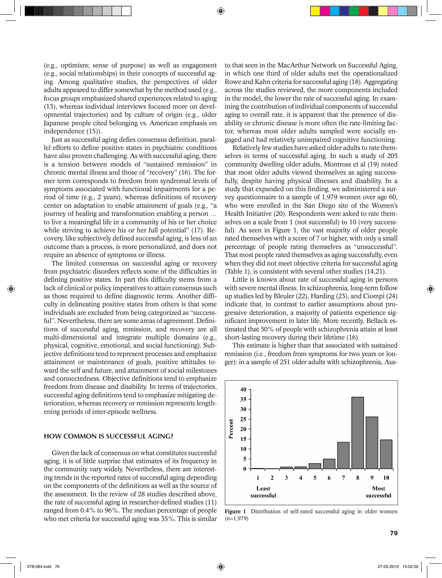(e.g., optimism; sense of purpose) as well as engagement (e.g., social relationships) in their concepts of successful aging. Among qualitative studies, the perspectives of older adults appeared to differ somewhat by the method used (e.g., focus groups emphasized shared experiences related to aging (13), whereas individual interviews focused more on developmental trajectories) and by culture of origin (e.g., older Japanese people cited belonging vs. American emphasis on independence (15)).

⊕

Just as successful aging defies consensus definition, parallel efforts to define positive states in psychiatric conditions have also proven challenging. As with successful aging, there is a tension between models of "sustained remission" in chronic mental illness and those of "recovery" (16). The former term corresponds to freedom from syndromal levels of symptoms associated with functional impairments for a period of time (e.g., 2 years), whereas definitions of recovery center on adaptation to enable attainment of goals (e.g., "a journey of healing and transformation enabling a person … to live a meaningful life in a community of his or her choice while striving to achieve his or her full potential" (17). Recovery, like subjectively defined successful aging, is less of an outcome than a process, is more personalized, and does not require an absence of symptoms or illness.

The limited consensus on successful aging or recovery from psychiatric disorders reflects some of the difficulties in defining positive states. In part this difficulty stems from a lack of clinical or policy imperatives to attain consensus such as those required to define diagnostic terms. Another difficulty in delineating positive states from others is that some individuals are excluded from being categorized as "successful". Nevertheless, there are some areas of agreement. Definitions of successful aging, remission, and recovery are all multi-dimensional and integrate multiple domains (e.g., physical, cognitive, emotional, and social functioning). Subjective definitions tend to represent processes and emphasize attainment or maintenance of goals, positive attitudes toward the self and future, and attainment of social milestones and connectedness. Objective definitions tend to emphasize freedom from disease and disability. In terms of trajectories, successful aging definitions tend to emphasize mitigating deterioration, whereas recovery or remission represents lengthening periods of inter-episode wellness.

## How common is successful aging?

Given the lack of consensus on what constitutes successful aging, it is of little surprise that estimates of its frequency in the community vary widely. Nevertheless, there are interesting trends in the reported rates of successful aging depending on the components of the definitions as well as the source of the assessment. In the review of 28 studies described above, the rate of successful aging in researcher-defined studies (11) ranged from 0.4% to 96%. The median percentage of people who met criteria for successful aging was 35%. This is similar

to that seen in the MacArthur Network on Successful Aging, in which one third of older adults met the operationalized Rowe and Kahn criteria for successful aging (18). Aggregating across the studies reviewed, the more components included in the model, the lower the rate of successful aging. In examining the contribution of individual components of successful aging to overall rate, it is apparent that the presence of disability or chronic disease is more often the rate-limiting factor, whereas most older adults sampled were socially engaged and had relatively unimpaired cognitive functioning.

Relatively few studies have asked older adults to rate themselves in terms of successful aging. In such a study of 205 community dwelling older adults, Montross et al (19) noted that most older adults viewed themselves as aging successfully, despite having physical illnesses and disability. In a study that expanded on this finding, we administered a survey questionnaire to a sample of 1,979 women over age 60, who were enrolled in the San Diego site of the Women's Health Initiative (20). Respondents were asked to rate themselves on a scale from 1 (not successful) to 10 (very successful). As seen in Figure 1, the vast majority of older people rated themselves with a score of 7 or higher, with only a small percentage of people rating themselves as "unsuccessful". That most people rated themselves as aging successfully, even when they did not meet objective criteria for successful aging (Table 1), is consistent with several other studies (14,21).

Little is known about rate of successful aging in persons with severe mental illness. In schizophrenia, long-term follow up studies led by Bleuler (22), Harding (23), and Ciompi (24) indicate that, in contrast to earlier assumptions about progressive deterioration, a majority of patients experience significant improvement in later life. More recently, Bellack estimated that 50% of people with schizophrenia attain at least short-lasting recovery during their lifetime (16).

This estimate is higher than that associated with sustained remission (i.e., freedom from symptoms for two years or longer): in a sample of 251 older adults with schizophrenia, Aus-



Figure 1 Distribution of self-rated successful aging in older women  $(n=1,979)$ 

◈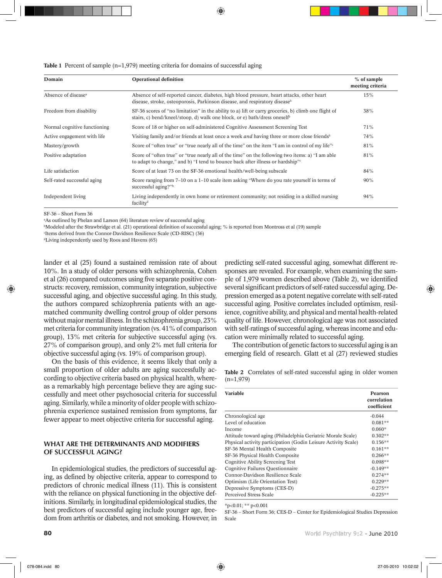⊕

## **Table 1** Percent of sample (n=1,979) meeting criteria for domains of successful aging

| Domain                          | <b>Operational definition</b>                                                                                                                                                                 | $%$ of sample<br>meeting criteria |
|---------------------------------|-----------------------------------------------------------------------------------------------------------------------------------------------------------------------------------------------|-----------------------------------|
| Absence of disease <sup>a</sup> | Absence of self-reported cancer, diabetes, high blood pressure, heart attacks, other heart<br>disease, stroke, osteoporosis, Parkinson disease, and respiratory disease <sup>b</sup>          | 15%                               |
| Freedom from disability         | SF-36 scores of "no limitation" in the ability to a) lift or carry groceries, b) climb one flight of<br>stairs, c) bend/kneel/stoop, d) walk one block, or e) bath/dress oneself <sup>b</sup> |                                   |
| Normal cognitive functioning    | Score of 18 or higher on self-administered Cognitive Assessment Screening Test                                                                                                                | 71%                               |
| Active engagement with life.    | Visiting family and/or friends at least once a week <i>and</i> having three or more close friends <sup>b</sup>                                                                                | 74%                               |
| Mastery/growth                  | Score of "often true" or "true nearly all of the time" on the item "I am in control of my life" $\epsilon$                                                                                    | 81%                               |
| Positive adaptation             | Score of "often true" or "true nearly all of the time" on the following two items: a) "I am able<br>to adapt to change," and b) "I tend to bounce back after illness or hardship"             | 81%                               |
| Life satisfaction               | Score of at least 73 on the SF-36 emotional health/well-being subscale                                                                                                                        | 84%                               |
| Self-rated successful aging     | Score ranging from $7-10$ on a $1-10$ scale item asking "Where do you rate yourself in terms of<br>successful aging?"b                                                                        | 90%                               |
| Independent living              | Living independently in own home or retirement community; not residing in a skilled nursing<br>facility <sup>d</sup>                                                                          | 94%                               |

SF-36 – Short Form 36

◈

a As outlined by Phelan and Larson (64) literature review of successful aging

b Modeled after the Strawbridge et al. (21) operational definition of successful aging; % is reported from Montross et al (19) sample

c Items derived from the Connor-Davidson Resilience Scale (CD-RISC) (36)

dLiving independently used by Roos and Havens (65)

lander et al (25) found a sustained remission rate of about 10%. In a study of older persons with schizophrenia, Cohen et al (26) compared outcomes using five separate positive constructs: recovery, remission, community integration, subjective successful aging, and objective successful aging. In this study, the authors compared schizophrenia patients with an agematched community dwelling control group of older persons without major mental illness. In the schizophrenia group, 23% met criteria for community integration (vs. 41% of comparison group), 13% met criteria for subjective successful aging (vs. 27% of comparison group), and only 2% met full criteria for objective successful aging (vs. 19% of comparison group).

On the basis of this evidence, it seems likely that only a small proportion of older adults are aging successfully according to objective criteria based on physical health, whereas a remarkably high percentage believe they are aging successfully and meet other psychosocial criteria for successful aging. Similarly, while a minority of older people with schizophrenia experience sustained remission from symptoms, far fewer appear to meet objective criteria for successful aging.

# WHAT ARE THE DETERMINANTS AND MODIFIERS of successful aging?

In epidemiological studies, the predictors of successful aging, as defined by objective criteria, appear to correspond to predictors of chronic medical illness (11). This is consistent with the reliance on physical functioning in the objective definitions. Similarly, in longitudinal epidemiological studies, the best predictors of successful aging include younger age, freedom from arthritis or diabetes, and not smoking. However, in predicting self-rated successful aging, somewhat different responses are revealed. For example, when examining the sample of 1,979 women described above (Table 2), we identified several significant predictors of self-rated successful aging. Depression emerged as a potent negative correlate with self-rated successful aging. Positive correlates included optimism, resilience, cognitive ability, and physical and mental health-related quality of life. However, chronological age was not associated with self-ratings of successful aging, whereas income and education were minimally related to successful aging.

The contribution of genetic factors to successful aging is an emerging field of research. Glatt et al (27) reviewed studies

|             | <b>Table 2</b> Correlates of self-rated successful aging in older women |  |  |  |  |
|-------------|-------------------------------------------------------------------------|--|--|--|--|
| $(n=1,979)$ |                                                                         |  |  |  |  |

| <b>Variable</b>                                                | Pearson<br>correlation<br>coefficient |
|----------------------------------------------------------------|---------------------------------------|
| Chronological age                                              | $-0.044$                              |
| Level of education                                             | $0.081**$                             |
| Income                                                         | $0.060*$                              |
| Attitude toward aging (Philadelphia Geriatric Morale Scale)    | $0.302**$                             |
| Physical activity participation (Godin Leisure Activity Scale) | $0.156**$                             |
| SF-36 Mental Health Composite                                  | $0.161**$                             |
| SF-36 Physical Health Composite                                | $0.266**$                             |
| Cognitive Ability Screening Test                               | $0.098**$                             |
| Cognitive Failures Ouestionnaire                               | $-0.149**$                            |
| Connor-Davidson Resilience Scale                               | $0.274**$                             |
| Optimism (Life Orientation Test)                               | $0.229**$                             |
| Depressive Symptoms (CES-D)                                    | $-0.275**$                            |
| Perceived Stress Scale                                         | $-0.225**$                            |

 $*n<0.01$ ;  $** n< 0.001$ 

SF-36 – Short Form 36; CES-D – Center for Epidemiological Studies Depression Scale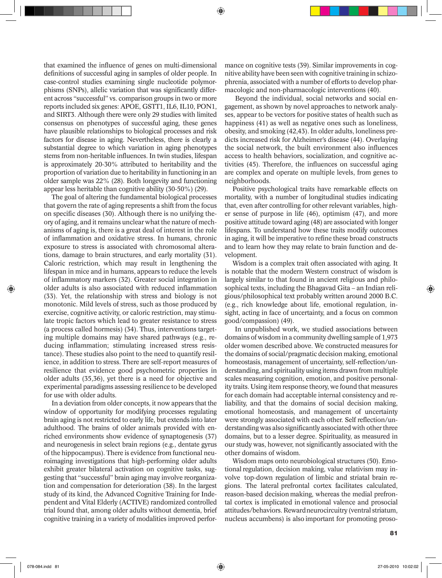that examined the influence of genes on multi-dimensional definitions of successful aging in samples of older people. In case-control studies examining single nucleotide polymorphisms (SNPs), allelic variation that was significantly different across "successful" vs. comparison groups in two or more reports included six genes: APOE, GSTT1, IL6, IL10, PON1, and SIRT3. Although there were only 29 studies with limited consensus on phenotypes of successful aging, these genes have plausible relationships to biological processes and risk factors for disease in aging. Nevertheless, there is clearly a substantial degree to which variation in aging phenotypes stems from non-heritable influences. In twin studies, lifespan is approximately 20-30% attributed to heritability and the proportion of variation due to heritability in functioning in an older sample was 22% (28). Both longevity and functioning appear less heritable than cognitive ability (30-50%) (29).

The goal of altering the fundamental biological processes that govern the rate of aging represents a shift from the focus on specific diseases (30). Although there is no unifying theory of aging, and it remains unclear what the nature of mechanisms of aging is, there is a great deal of interest in the role of inflammation and oxidative stress. In humans, chronic exposure to stress is associated with chromosomal alterations, damage to brain structures, and early mortality (31). Caloric restriction, which may result in lengthening the lifespan in mice and in humans, appears to reduce the levels of inflammatory markers (32). Greater social integration in older adults is also associated with reduced inflammation (33). Yet, the relationship with stress and biology is not monotonic. Mild levels of stress, such as those produced by exercise, cognitive activity, or caloric restriction, may stimulate tropic factors which lead to greater resistance to stress (a process called hormesis) (34). Thus, interventions targeting multiple domains may have shared pathways (e.g., reducing inflammation; stimulating increased stress resistance). These studies also point to the need to quantify resilience, in addition to stress. There are self-report measures of resilience that evidence good psychometric properties in older adults (35,36), yet there is a need for objective and experimental paradigms assessing resilience to be developed for use with older adults.

In a deviation from older concepts, it now appears that the window of opportunity for modifying processes regulating brain aging is not restricted to early life, but extends into later adulthood. The brains of older animals provided with enriched environments show evidence of synaptogenesis (37) and neurogenesis in select brain regions (e.g., dentate gyrus of the hippocampus). There is evidence from functional neuroimaging investigations that high-performing older adults exhibit greater bilateral activation on cognitive tasks, suggesting that "successful" brain aging may involve reorganization and compensation for deterioration (38). In the largest study of its kind, the Advanced Cognitive Training for Independent and Vital Elderly (ACTIVE) randomized controlled trial found that, among older adults without dementia, brief cognitive training in a variety of modalities improved performance on cognitive tests (39). Similar improvements in cognitive ability have been seen with cognitive training in schizophrenia, associated with a number of efforts to develop pharmacologic and non-pharmacologic interventions (40).

◈

 Beyond the individual, social networks and social engagement, as shown by novel approaches to network analyses, appear to be vectors for positive states of health such as happiness (41) as well as negative ones such as loneliness, obesity, and smoking (42,43). In older adults, loneliness predicts increased risk for Alzheimer's disease (44). Overlaying the social network, the built environment also influences access to health behaviors, socialization, and cognitive activities (45). Therefore, the influences on successful aging are complex and operate on multiple levels, from genes to neighborhoods.

Positive psychological traits have remarkable effects on mortality, with a number of longitudinal studies indicating that, even after controlling for other relevant variables, higher sense of purpose in life (46), optimism (47), and more positive attitude toward aging (48) are associated with longer lifespans. To understand how these traits modify outcomes in aging, it will be imperative to refine these broad constructs and to learn how they may relate to brain function and development.

Wisdom is a complex trait often associated with aging. It is notable that the modern Western construct of wisdom is largely similar to that found in ancient religious and philosophical texts, including the Bhagavad Gita – an Indian religious/philosophical text probably written around 2000 B.C. (e.g., rich knowledge about life, emotional regulation, insight, acting in face of uncertainty, and a focus on common good/compassion) (49).

 In unpublished work, we studied associations between domains of wisdom in a community dwelling sample of 1,973 older women described above. We constructed measures for the domains of social/pragmatic decision making, emotional homeostasis, management of uncertainty, self-reflection/understanding, and spirituality using items drawn from multiple scales measuring cognition, emotion, and positive personality traits. Using item response theory, we found that measures for each domain had acceptable internal consistency and reliability, and that the domains of social decision making, emotional homeostasis, and management of uncertainty were strongly associated with each other. Self reflection/understanding was also significantly associated with other three domains, but to a lesser degree. Spirituality, as measured in our study was, however, not significantly associated with the other domains of wisdom.

Wisdom maps onto neurobiological structures (50). Emotional regulation, decision making, value relativism may involve top-down regulation of limbic and striatal brain regions. The lateral prefrontal cortex facilitates calculated, reason-based decision making, whereas the medial prefrontal cortex is implicated in emotional valence and prosocial attitudes/behaviors. Rewardneurocircuitry (ventral striatum, nucleus accumbens) is also important for promoting proso-

#### World Psychiatry 9:2 - June 2010 81:2 - June 2010 81:2 - June 2010 81:2 - June 2010 81:2 - June 2010 81:2 - June 2010 81:2 - June 2010 81:2 - June 2010 81:2 - June 2010 81:2 - June 2010 81:2 - June 2010 81:2 - June 2010 81

⊕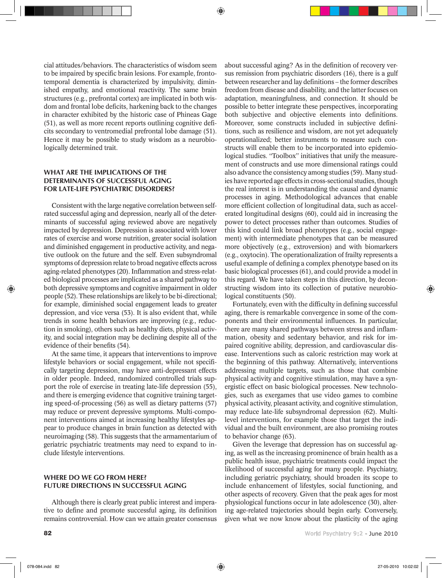⊕

cial attitudes/behaviors. The characteristics of wisdom seem to be impaired by specific brain lesions. For example, frontotemporal dementia is characterized by impulsivity, diminished empathy, and emotional reactivity. The same brain structures (e.g., prefrontal cortex) are implicated in both wisdom and frontal lobe deficits, harkening back to the changes in character exhibited by the historic case of Phineas Gage (51), as well as more recent reports outlining cognitive deficits secondary to ventromedial prefrontal lobe damage (51). Hence it may be possible to study wisdom as a neurobiologically determined trait.

# WHAT ARE THE IMPLICATIONS OF THE determinants of successful aging for late-life psychiatric disorders?

Consistent with the large negative correlation between selfrated successful aging and depression, nearly all of the determinants of successful aging reviewed above are negatively impacted by depression. Depression is associated with lower rates of exercise and worse nutrition, greater social isolation and diminished engagement in productive activity, and negative outlook on the future and the self. Even subsyndromal symptoms of depression relate to broad negative effects across aging-related phenotypes (20). Inflammation and stress-related biological processes are implicated as a shared pathway to both depressive symptoms and cognitive impairment in older people (52). These relationships are likely to be bi-directional; for example, diminished social engagement leads to greater depression, and vice versa (53). It is also evident that, while trends in some health behaviors are improving (e.g., reduction in smoking), others such as healthy diets, physical activity, and social integration may be declining despite all of the evidence of their benefits (54).

At the same time, it appears that interventions to improve lifestyle behaviors or social engagement, while not specifically targeting depression, may have anti-depressant effects in older people. Indeed, randomized controlled trials support the role of exercise in treating late-life depression (55), and there is emerging evidence that cognitive training targeting speed-of-processing (56) as well as dietary patterns (57) may reduce or prevent depressive symptoms. Multi-component interventions aimed at increasing healthy lifestyles appear to produce changes in brain function as detected with neuroimaging (58). This suggests that the armamentarium of geriatric psychiatric treatments may need to expand to include lifestyle interventions.

# WHERE DO WE GO FROM HERE? Future directions in successful aging

Although there is clearly great public interest and imperative to define and promote successful aging, its definition remains controversial. How can we attain greater consensus

about successful aging? As in the definition of recovery versus remission from psychiatric disorders (16), there is a gulf between researcher and lay definitions – the former describes freedom from disease and disability, and the latter focuses on adaptation, meaningfulness, and connection. It should be possible to better integrate these perspectives, incorporating both subjective and objective elements into definitions. Moreover, some constructs included in subjective definitions, such as resilience and wisdom, are not yet adequately operationalized; better instruments to measure such constructs will enable them to be incorporated into epidemiological studies. "Toolbox" initiatives that unify the measurement of constructs and use more dimensional ratings could also advance the consistency among studies (59). Many studies have reported age effects in cross-sectional studies, though the real interest is in understanding the causal and dynamic processes in aging. Methodological advances that enable more efficient collection of longitudinal data, such as accelerated longitudinal designs (60), could aid in increasing the power to detect processes rather than outcomes. Studies of this kind could link broad phenotypes (e.g., social engagement) with intermediate phenotypes that can be measured more objectively (e.g., extroversion) and with biomarkers (e.g., oxytocin). The operationalization of frailty represents a useful example of defining a complex phenotype based on its basic biological processes (61), and could provide a model in this regard. We have taken steps in this direction, by deconstructing wisdom into its collection of putative neurobiological constituents (50).

Fortunately, even with the difficulty in defining successful aging, there is remarkable convergence in some of the components and their environmental influences. In particular, there are many shared pathways between stress and inflammation, obesity and sedentary behavior, and risk for impaired cognitive ability, depression, and cardiovascular disease. Interventions such as caloric restriction may work at the beginning of this pathway. Alternatively, interventions addressing multiple targets, such as those that combine physical activity and cognitive stimulation, may have a synergistic effect on basic biological processes. New technologies, such as exergames that use video games to combine physical activity, pleasant activity, and cognitive stimulation, may reduce late-life subsyndromal depression (62). Multilevel interventions, for example those that target the individual and the built environment, are also promising routes to behavior change (63).

Given the leverage that depression has on successful aging, as well as the increasing prominence of brain health as a public health issue, psychiatric treatments could impact the likelihood of successful aging for many people. Psychiatry, including geriatric psychiatry, should broaden its scope to include enhancement of lifestyles, social functioning, and other aspects of recovery. Given that the peak ages for most physiological functions occur in late adolescence (30), altering age-related trajectories should begin early. Conversely, given what we now know about the plasticity of the aging

⊕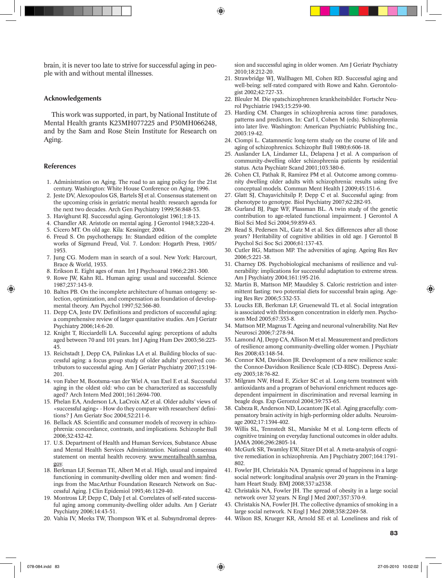brain, it is never too late to strive for successful aging in people with and without mental illnesses.

## Acknowledgements

This work was supported, in part, by National Institute of Mental Health grants K23MH077225 and P30MH066248, and by the Sam and Rose Stein Institute for Research on Aging.

## References

- 1. Administration on Aging. The road to an aging policy for the 21st century. Washington: White House Conference on Aging, 1996.
- 2. Jeste DV, Alexopoulos GS, Bartels SJ et al. Consensus statement on the upcoming crisis in geriatric mental health: research agenda for the next two decades. Arch Gen Psychiatry 1999;56:848-53.
- 3. Havighurst RJ. Successful aging. Gerontologist 1961;1:8-13.
- 4. Chandler AR. Aristotle on mental aging. J Gerontol 1948;3:220-4.
- 5. Cicero MT. On old age. Kila: Kessinger, 2004.
- 6. Freud S. On psychotherapy. In: Standard edition of the complete works of Sigmund Freud, Vol. 7. London: Hogarth Press, 1905/ 1953.
- 7. Jung CG. Modern man in search of a soul. New York: Harcourt, Brace & World, 1933.
- 8. Erikson E. Eight ages of man. Int J Psychoanal 1966;2:281-300.
- 9. Rowe JW, Kahn RL. Human aging: usual and successful. Science 1987;237:143-9.
- 10. Baltes PB. On the incomplete architecture of human ontogeny: selection, optimization, and compensation as foundation of developmental theory. Am Psychol 1997;52:366-80.
- 11. Depp CA, Jeste DV. Definitions and predictors of successful aging: a comprehensive review of larger quantitative studies. Am J Geriatr Psychiatry 2006;14:6-20.
- 12. Knight T, Ricciardelli LA. Successful aging: perceptions of adults aged between 70 and 101 years. Int J Aging Hum Dev 2003;56:223- 45.
- 13. Reichstadt J, Depp CA, Palinkas LA et al. Building blocks of successful aging: a focus group study of older adults' perceived contributors to successful aging. Am J Geriatr Psychiatry 2007;15:194- 201.
- 14. von Faber M, Bootsma-van der Wiel A, van Exel E et al. Successful aging in the oldest old: who can be characterized as successfully aged? Arch Intern Med 2001;161:2694-700.
- 15. Phelan EA, Anderson LA, LaCroix AZ et al. Older adults' views of «successful aging» - How do they compare with researchers' definitions? J Am Geriatr Soc 2004;52:211-6.
- 16. Bellack AS. Scientific and consumer models of recovery in schizophrenia: concordance, contrasts, and implications. Schizophr Bull 2006;32:432-42.
- 17. U.S. Department of Health and Human Services, Substance Abuse and Mental Health Services Administration. National consensus statement on mental health recovery. www.mentalhealth.samhsa. gov.
- 18. Berkman LF, Seeman TE, Albert M et al. High, usual and impaired functioning in community-dwelling older men and women: findings from the MacArthur Foundation Research Network on Successful Aging. J Clin Epidemiol 1993;46:1129-40.
- 19. Montross LP, Depp C, Daly J et al. Correlates of self-rated successful aging among community-dwelling older adults. Am J Geriatr Psychiatry 2006;14:43-51.
- 20. Vahia IV, Meeks TW, Thompson WK et al. Subsyndromal depres-

sion and successful aging in older women. Am J Geriatr Psychiatry 2010;18:212-20.

- 21. Strawbridge WJ, Wallhagen MI, Cohen RD. Successful aging and well-being: self-rated compared with Rowe and Kahn. Gerontologist 2002;42:727-33.
- 22. Bleuler M. Die spatschizophrenen krankheitsbilder. Fortschr Neurol Psychiatrie 1943;15:259-90.
- 23. Harding CM. Changes in schizophrenia across time: paradoxes, patterns and predictors. In: Carl I, Cohen M (eds). Schizophrenia into later live. Washington: American Psychiatric Publishing Inc., 2003:19-42.
- 24. Ciompi L. Catamnestic long-term study on the course of life and aging of schizophrenics. Schizophr Bull 1980;6:606-18.
- 25. Auslander LA, Lindamer LL, Delapena J et al. A comparison of community-dwelling older schizophrenia patients by residential status. Acta Psychiatr Scand 2001;103:380-6.
- 26. Cohen CI, Pathak R, Ramirez PM et al. Outcome among community dwelling older adults with schizophrenia: results using five conceptual models. Commun Ment Health J 2009;45:151-6.
- 27. Glatt SJ, Chayavichitsilp P, Depp C et al. Successful aging: from phenotype to genotype. Biol Psychiatry 2007;62:282-93.
- 28. Gurland BJ, Page WF, Plassman BL. A twin study of the genetic contribution to age-related functional impairment. J Gerontol A Biol Sci Med Sci 2004;59:859-63.
- 29. Read S, Pedersen NL, Gatz M et al. Sex differences after all those years? Heritability of cognitive abilities in old age. J Gerontol B Psychol Sci Soc Sci 2006;61:137-43.
- 30. Cutler RG, Mattson MP. The adversities of aging. Ageing Res Rev 2006;5:221-38.
- 31. Charney DS. Psychobiological mechanisms of resilience and vulnerability: implications for successful adaptation to extreme stress. Am J Psychiatry 2004;161:195-216.
- 32. Martin B, Mattson MP, Maudsley S. Caloric restriction and intermittent fasting: two potential diets for successful brain aging. Ageing Res Rev 2006;5:332-53.
- 33. Loucks EB, Berkman LF, Gruenewald TL et al. Social integration is associated with fibrinogen concentration in elderly men. Psychosom Med 2005;67:353-8.
- 34. Mattson MP, Magnus T. Ageing and neuronal vulnerability. Nat Rev Neurosci 2006;7:278-94.
- 35. Lamond AJ, Depp CA, Allison M et al. Measurement and predictors of resilience among community-dwelling older women. J Psychiatr Res 2008;43:148-54.
- 36. Connor KM, Davidson JR. Development of a new resilience scale: the Connor-Davidson Resilience Scale (CD-RISC). Depress Anxiety 2003;18:76-82.
- 37. Milgram NW, Head E, Zicker SC et al. Long-term treatment with antioxidants and a program of behavioral enrichment reduces agedependent impairment in discrimination and reversal learning in beagle dogs. Exp Gerontol 2004;39:753-65.
- 38. Cabeza R, Anderson ND, Locantore JK et al. Aging gracefully: compensatory brain activity in high-performing older adults. Neuroimage 2002;17:1394-402.
- 39. Willis SL, Tennstedt SL, Marsiske M et al. Long-term effects of cognitive training on everyday functional outcomes in older adults. JAMA 2006;296:2805-14.
- 40. McGurk SR, Twamley EW, Sitzer DI et al. A meta-analysis of cognitive remediation in schizophrenia. Am J Psychiatry 2007;164:1791- 802.
- 41. Fowler JH, Christakis NA. Dynamic spread of happiness in a large social network: longitudinal analysis over 20 years in the Framingham Heart Study. BMJ 2008;337:a2338.
- 42. Christakis NA, Fowler JH. The spread of obesity in a large social network over 32 years. N Engl J Med 2007;357:370-9.
- 43. Christakis NA, Fowler JH. The collective dynamics of smoking in a large social network. N Engl J Med 2008;358:2249-58.
- 44. Wilson RS, Krueger KR, Arnold SE et al. Loneliness and risk of